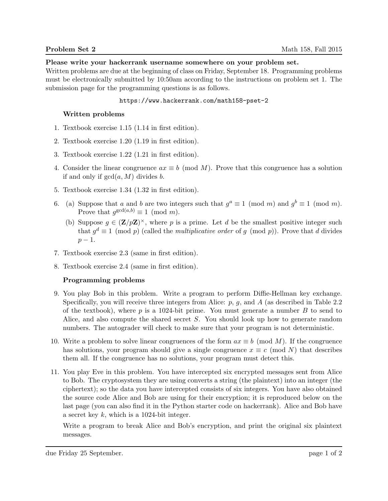## Please write your hackerrank username somewhere on your problem set.

Written problems are due at the beginning of class on Friday, September 18. Programming problems must be electronically submitted by 10:50am according to the instructions on problem set 1. The submission page for the programming questions is as follows.

## https://www.hackerrank.com/math158-pset-2

## Written problems

- 1. Textbook exercise 1.15 (1.14 in first edition).
- 2. Textbook exercise 1.20 (1.19 in first edition).
- 3. Textbook exercise 1.22 (1.21 in first edition).
- 4. Consider the linear congruence  $ax \equiv b \pmod{M}$ . Prove that this congruence has a solution if and only if  $gcd(a, M)$  divides b.
- 5. Textbook exercise 1.34 (1.32 in first edition).
- 6. (a) Suppose that a and b are two integers such that  $g^a \equiv 1 \pmod{m}$  and  $g^b \equiv 1 \pmod{m}$ . Prove that  $g^{\gcd(a,b)} \equiv 1 \pmod{m}$ .
	- (b) Suppose  $g \in (\mathbf{Z}/p\mathbf{Z})^{\times}$ , where p is a prime. Let d be the smallest positive integer such that  $g^d \equiv 1 \pmod{p}$  (called the *multiplicative order* of g (mod p)). Prove that d divides  $p-1$ .
- 7. Textbook exercise 2.3 (same in first edition).
- 8. Textbook exercise 2.4 (same in first edition).

## Programming problems

- 9. You play Bob in this problem. Write a program to perform Diffie-Hellman key exchange. Specifically, you will receive three integers from Alice:  $p, q$ , and A (as described in Table 2.2) of the textbook), where  $p$  is a 1024-bit prime. You must generate a number  $B$  to send to Alice, and also compute the shared secret S. You should look up how to generate random numbers. The autograder will check to make sure that your program is not deterministic.
- 10. Write a problem to solve linear congruences of the form  $ax \equiv b \pmod{M}$ . If the congruence has solutions, your program should give a single congruence  $x \equiv c \pmod{N}$  that describes them all. If the congruence has no solutions, your program must detect this.
- 11. You play Eve in this problem. You have intercepted six encrypted messages sent from Alice to Bob. The cryptosystem they are using converts a string (the plaintext) into an integer (the ciphertext); so the data you have intercepted consists of six integers. You have also obtained the source code Alice and Bob are using for their encryption; it is reproduced below on the last page (you can also find it in the Python starter code on hackerrank). Alice and Bob have a secret key k, which is a 1024-bit integer.

Write a program to break Alice and Bob's encryption, and print the original six plaintext messages.

due Friday 25 September. page 1 of 2